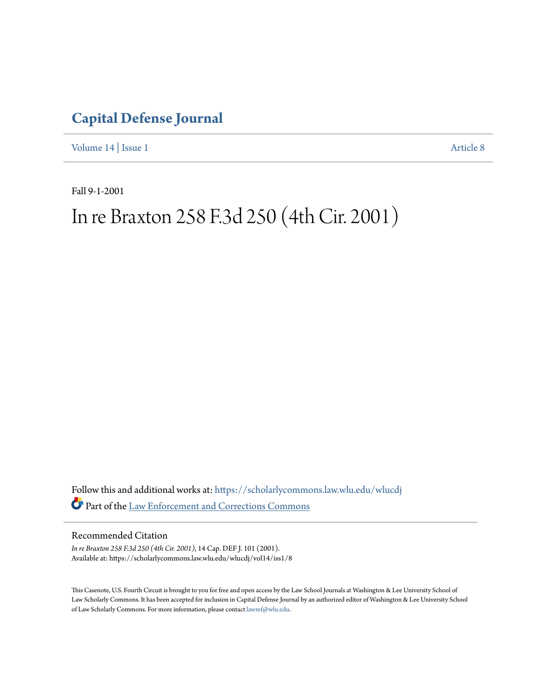## **[Capital Defense Journal](https://scholarlycommons.law.wlu.edu/wlucdj?utm_source=scholarlycommons.law.wlu.edu%2Fwlucdj%2Fvol14%2Fiss1%2F8&utm_medium=PDF&utm_campaign=PDFCoverPages)**

[Volume 14](https://scholarlycommons.law.wlu.edu/wlucdj/vol14?utm_source=scholarlycommons.law.wlu.edu%2Fwlucdj%2Fvol14%2Fiss1%2F8&utm_medium=PDF&utm_campaign=PDFCoverPages) | [Issue 1](https://scholarlycommons.law.wlu.edu/wlucdj/vol14/iss1?utm_source=scholarlycommons.law.wlu.edu%2Fwlucdj%2Fvol14%2Fiss1%2F8&utm_medium=PDF&utm_campaign=PDFCoverPages) [Article 8](https://scholarlycommons.law.wlu.edu/wlucdj/vol14/iss1/8?utm_source=scholarlycommons.law.wlu.edu%2Fwlucdj%2Fvol14%2Fiss1%2F8&utm_medium=PDF&utm_campaign=PDFCoverPages)

Fall 9-1-2001

# In re Braxton 258 F.3d 250 (4th Cir. 2001)

Follow this and additional works at: [https://scholarlycommons.law.wlu.edu/wlucdj](https://scholarlycommons.law.wlu.edu/wlucdj?utm_source=scholarlycommons.law.wlu.edu%2Fwlucdj%2Fvol14%2Fiss1%2F8&utm_medium=PDF&utm_campaign=PDFCoverPages) Part of the [Law Enforcement and Corrections Commons](http://network.bepress.com/hgg/discipline/854?utm_source=scholarlycommons.law.wlu.edu%2Fwlucdj%2Fvol14%2Fiss1%2F8&utm_medium=PDF&utm_campaign=PDFCoverPages)

Recommended Citation

*In re Braxton 258 F.3d 250 (4th Cir. 2001)*, 14 Cap. DEF J. 101 (2001). Available at: https://scholarlycommons.law.wlu.edu/wlucdj/vol14/iss1/8

This Casenote, U.S. Fourth Circuit is brought to you for free and open access by the Law School Journals at Washington & Lee University School of Law Scholarly Commons. It has been accepted for inclusion in Capital Defense Journal by an authorized editor of Washington & Lee University School of Law Scholarly Commons. For more information, please contact [lawref@wlu.edu.](mailto:lawref@wlu.edu)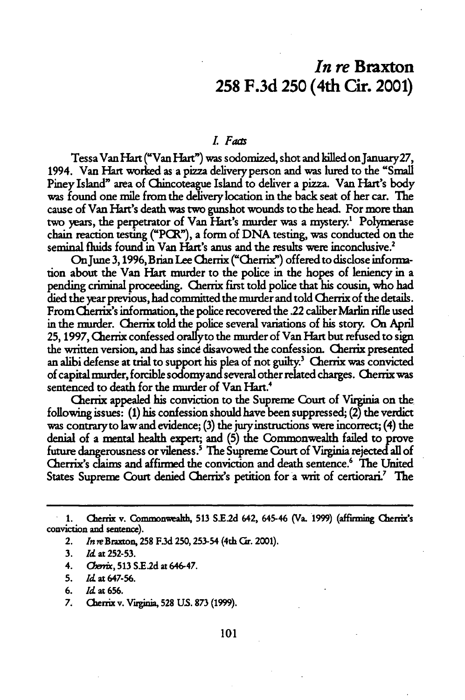### *In re* Braxton **258 F.3d 250** (4th Cir. 2001)

#### *LFas*

Tessa Van Hart ("Van Hart") was sodomized, shot and killed on January27, 1994. Van Hart worked as a pizza delivery person and was lured to the "Small Piney Island" area of Chincoteague Island to deliver a *pizza*. Van Hart's body was found one mile from the delivery location in the back seat of her car. The cause of Van Hart's death was two gunshot wounds to the head. For more than two years, the perpetrator of Van Hart's murder was a mystery.<sup>1</sup> Polymerase chain reaction testing ("PCR"), a form of **DNA** testing, was conducted on the seminal fluids found in Van Hart's anus and the results were inconclusive.<sup>2</sup>

OnJune **3,1996,** Brian **Lee** Cherrix ("Cherrix") offered to disclose information about the Van **Hart** murder to the police in the hopes of leniency in a pending criminal proceeding. Cherrix first told police that his cousin, who had died the year previous, had committed the murder and told Cherrix of the details. From Cherrix's information, the police recovered the .22 caliber Marlin rifle used in the murder. Cherrix told the police several variations of his story. On April 25, **1997,** Cherrix confessed orallyto the murder of Van Hart but refused to sign the written version, and has sincd disavowed the confession. Cherrix presented an alibi defense at trial to support his plea of not guilty.<sup>3</sup> Cherrix was convicted of capital murder, forcible sodomyand several other related charges. Cherrix was sentenced to death for the murder of Van Hart."

Cherrix appealed his conviction to the Supreme Court of Virginia on the following issues: **(1)** his confession should have been suppressed; (2) the verdict was contraryto law and evidence; **(3)** the juryinstructions were incorrect; (4) the denial of a mental health expert; and **(5)** the Commonwealth failed to prove future dangerousness or vileness.' The Supreme Court of Virginia rejected all of Cherrix's claims and affirmed the conviction and death sentence.6 The United States Supreme Court denied Cherrix's petition for a writ of certiorari' The

- 2. In reBrmon, **258 F.3d 250,253-54** (4th Gr. **2001).**
- 3. *Id* at **252-53.**
- 4. Gf'rix, 513 **S.E2d** at 646-47.
- **5. Id at 647-56.**
- **6.** *Id* at **656.**
- **7.** Cherrix v. Vuginia, **528 US. 873** (1999).

<sup>1.</sup> Cherrix v. Commonweath, 513 SE2d 642, 645-46 (Va. **1999)** (affimning Cherrix's conviction and sentence).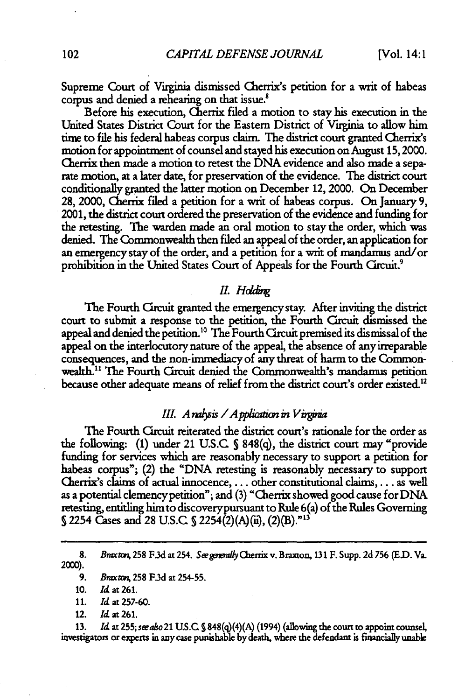Supreme Court of Virginia dismissed Cherrix's petition for a writ of habeas corpus and denied a rehearing on that issue.<sup>8</sup>

Before his execution, Cherrix filed a motion to stay his execution in the United States District Court for the Eastern District of Virginia to allow him time to file his federal habeas corpus claim. The district court granted Cherrix's motion for appointment of counsel and stayed his execution on August 15,2000. Qierrix then made a motion to retest the DNA evidence and also made a separate motion, at a later date, for preservation of the evidence. The district court conditionally granted the latter motion on December 12, 2000. On December 28, 2000, Cherrix filed a petition for a writ of habeas corpus. On January 9, 2001, the district court ordered the preservation of the evidence and funding for the retesting. The warden made an oral motion to stay the order, which was denied. The Commonwealth then filed an appeal of the order, an application for an emergency stay of the order, and a petition for a writ of mandamus and/or prohibition in the United States Court of Appeals for the Fourth Circuit.'

#### *II. Hddg*

The Fourth Crcuit granted the emergency stay. After inviting the district court to submit a response to the petition, the Fourth Circuit dismissed the appeal and denied the petition.<sup>10</sup> The Fourth Circuit premised its dismissal of the appeal on the interlocutory nature of the appeal, the absence of any irreparable consequences, and the non-immediacy of any threat of harm to the Commonwealth.<sup>11</sup> The Fourth Circuit denied the Commonwealth's mandamus petition because other adequate means of relief from the district court's order existed.<sup>12</sup>

#### *XII. A ralysis / A pplication in Virginia*

The Fourth Circuit reiterated the district court's rationale for the order as the following: (1) under 21 U.S.C **S** 848(q), the district court may "provide funding for services which are reasonably necessary to support a petition for habeas corpus"; (2) the "DNA retesting is reasonably necessary to support Clierrix's claims of actual innocence,... other constitutional claims,.. **.** as well as a potential clemencypetition"; and (3) "Cherrix showed good cause for DNA retesting, entitling himto discoverypursuant to Rule 6(a) of the Rules Governing 52254 Cases and 28 U.S.C **S** 2254(2)(A)(ii), (2)(B)."'

12. Id at 261.

**13.** *Id at 255; seeaso 21 U.S.C S* 848(q)(4)(A) (1994) (allowing the court to appoint counsel, investigators or experts in any case punishable **by** death, where the defendant is financially unable

<sup>8.</sup> *Bnaxton, 258 F.3d at 254. See generally Cherrix v. Braxton, 131 F. Supp. 2d 756 (E.D. Va.* 2000).

<sup>9.</sup> *Bmx rem,* **258** F.3d at 254-55.

<sup>10.</sup> Id at **261.**

<sup>11.</sup> *Id* at 257-60.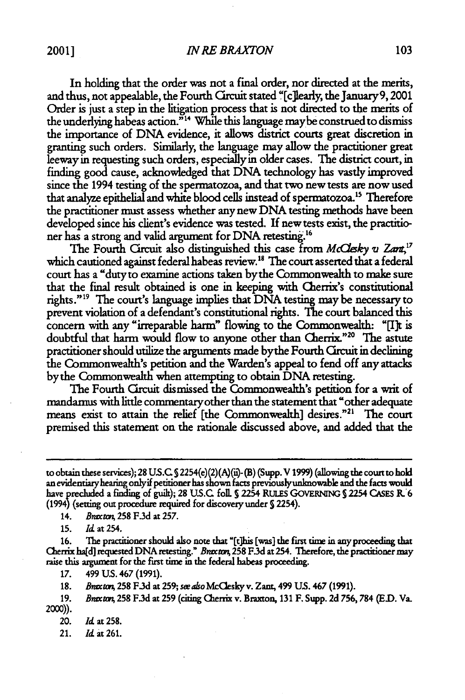In holding that the order was not a final order, nor directed at the merits, and thus, not appealable, the Fourth Circuit stated "[c]learly, the January 9, 2001 Order is just a step in the litigation process that is not directed to the merits of the underlying habeas action."<sup>14</sup> While this language may be construed to dismiss the importance of DNA evidence, it allows district courts great discretion in granting such orders. Similarly, the language may allow the practitioner great leeway in requesting such orders, especiallyin older cases. The district court, in finding good cause, acknowledged that DNA technology has vastly improved since the 1994 testing of the spermatozoa, and that two new tests are now used that analyze epithelial and white blood cells instead of spermatozoa.<sup>15</sup> Therefore the practitioner must assess whether any new DNA testing methods have been developed since his client's evidence was tested. **If** new tests exist, the practitioner has a strong and valid argument for DNA retesting.<sup>16</sup>

The Fourth Circuit also distinguished this case from *McClesky v Zart*,<sup>17</sup> which cautioned against federal habeas review.<sup>18</sup> The court asserted that a federal court has a "duty to examine actions taken bythe Commonwealth to make sure that the final result obtained is one in keeping with Cherrix's constitutional rights."<sup>19</sup> The court's language implies that DNA testing may be necessary to prevent violation of a defendant's constitutional rights. The court balanced this concern with any "irreparable harm" flowing to the Commonwealth: "[I]t is doubtful that harm would flow to anyone other than Cherrix."<sup>20</sup> The astute practitioner should utilize the arguments made bythe Fourth Circuit in declining the Commonwealth's petition and the Warden's appeal to fend off any attacks bythe Commonwealth when attempting to obtain DNA retesting.

The Fourth Circuit dismissed the Commonwealth's petition for a writ of mandamus with little commentary other than the statement that "other adequate means exist to attain the relief [the Commonwealth] desires."<sup>21</sup> The court premised this statement on the rationale discussed above, and added that the

14. *Bnrxwpt,* **258 F.3d** at **257.**

**15.** *Id* at 254.

**16.** The practitioner should also note that "(t]his [was] the fist time in anyproceeding that Cherrix ha[d] requested DNA retesting." *Bnrxm* **258** F.3d at 254. Therefore, the practitioner may raise this argument for the first time in the federal habeas proceeding.

*17.* 499 **US.** 467 **(1991).**

**18.** *Bnna,* **258 F3d** at **259;** *seeabo* Mclesky v. Zant, 499 **US.** 467 **(1991).**

**19.** *Bnetam,* **258 F3d** at **259 (citing** Cherrix v. Braxton, **131** F. Supp. **2d 756,784 (ED.** Va. 2000)).

20. *Id* at **258.**

21. Id **at 261.**

to obtain these services); 28 US.C 2254(e)(2)(A)(is- **(B)** (Supp. V **1999)** (allowing the court to **hold** anevidentianyhearing onlyif petitioner has shown facts previouslyuninowable and the facts would have precluded a finding of guilt); 28 U.S.C. foll. § 2254 RULES GOVERNING § 2254 CASES R. 6 (1994) (setting out procedure required for discovery under **S** 2254).